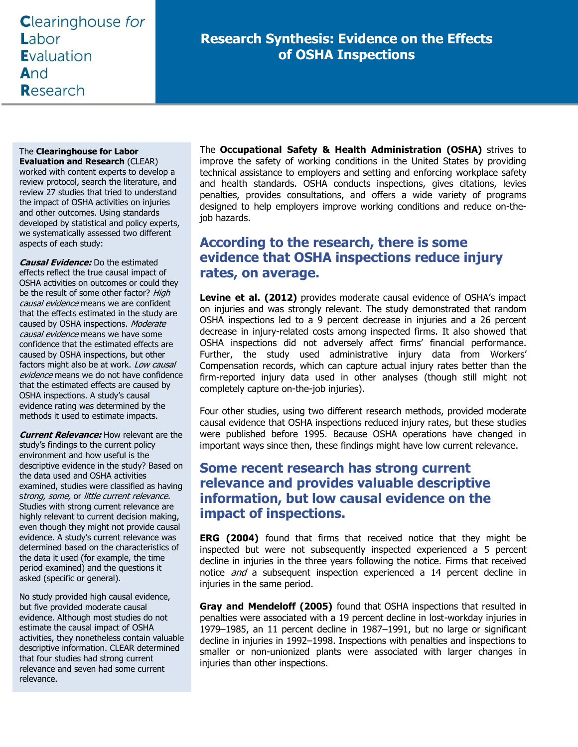# **Clearinghouse for** Labor **E**valuation And Research

## **Research Synthesis: Evidence on the Effects of OSHA Inspections**

#### The **Clearinghouse for Labor**

**Evaluation and Research** (CLEAR) worked with content experts to develop a review protocol, search the literature, and review 27 studies that tried to understand the impact of OSHA activities on injuries and other outcomes. Using standards developed by statistical and policy experts, we systematically assessed two different aspects of each study:

**Causal Evidence:** Do the estimated effects reflect the true causal impact of OSHA activities on outcomes or could they be the result of some other factor? High causal evidence means we are confident that the effects estimated in the study are caused by OSHA inspections. Moderate causal evidence means we have some confidence that the estimated effects are caused by OSHA inspections, but other factors might also be at work. Low causal evidence means we do not have confidence that the estimated effects are caused by OSHA inspections. A study's causal evidence rating was determined by the methods it used to estimate impacts.

**Current Relevance:** How relevant are the study's findings to the current policy environment and how useful is the descriptive evidence in the study? Based on the data used and OSHA activities examined, studies were classified as having strong, some, or little current relevance. Studies with strong current relevance are highly relevant to current decision making, even though they might not provide causal evidence. A study's current relevance was determined based on the characteristics of the data it used (for example, the time period examined) and the questions it asked (specific or general).

No study provided high causal evidence, but five provided moderate causal evidence. Although most studies do not estimate the causal impact of OSHA activities, they nonetheless contain valuable descriptive information. CLEAR determined that four studies had strong current relevance and seven had some current relevance.

The **Occupational Safety & Health Administration (OSHA)** strives to improve the safety of working conditions in the United States by providing technical assistance to employers and setting and enforcing workplace safety and health standards. OSHA conducts inspections, gives citations, levies penalties, provides consultations, and offers a wide variety of programs designed to help employers improve working conditions and reduce on-thejob hazards.

### **According to the research, there is some evidence that OSHA inspections reduce injury rates, on average.**

**Levine et al. (2012)** provides moderate causal evidence of OSHA's impact on injuries and was strongly relevant. The study demonstrated that random OSHA inspections led to a 9 percent decrease in injuries and a 26 percent decrease in injury-related costs among inspected firms. It also showed that OSHA inspections did not adversely affect firms' financial performance. Further, the study used administrative injury data from Workers' Compensation records, which can capture actual injury rates better than the firm-reported injury data used in other analyses (though still might not completely capture on-the-job injuries).

Four other studies, using two different research methods, provided moderate causal evidence that OSHA inspections reduced injury rates, but these studies were published before 1995. Because OSHA operations have changed in important ways since then, these findings might have low current relevance.

#### **Some recent research has strong current relevance and provides valuable descriptive information, but low causal evidence on the impact of inspections.**

**ERG (2004)** found that firms that received notice that they might be inspected but were not subsequently inspected experienced a 5 percent decline in injuries in the three years following the notice. Firms that received notice *and* a subsequent inspection experienced a 14 percent decline in injuries in the same period.

**Gray and Mendeloff (2005)** found that OSHA inspections that resulted in penalties were associated with a 19 percent decline in lost-workday injuries in 1979–1985, an 11 percent decline in 1987–1991, but no large or significant decline in injuries in 1992–1998. Inspections with penalties and inspections to smaller or non-unionized plants were associated with larger changes in injuries than other inspections.